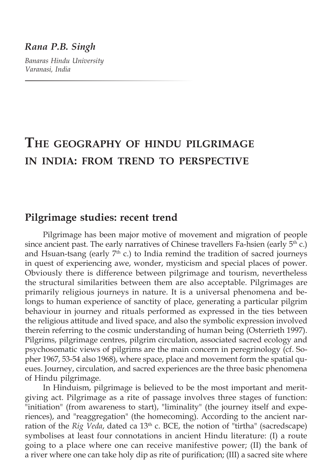#### *Rana P.B. Singh*

*Banaras Hindu University Varanasi, India*

# **The geography of hindu pilgrimage in india: from trend to perspective**

# **Pilgrimage studies: recent trend**

Pilgrimage has been major motive of movement and migration of people since ancient past. The early narratives of Chinese travellers Fa-hsien (early  $5<sup>th</sup>$  c.) and Hsuan-tsang (early  $7<sup>th</sup>$  c.) to India remind the tradition of sacred journeys in quest of experiencing awe, wonder, mysticism and special places of power. Obviously there is difference between pilgrimage and tourism, nevertheless the structural similarities between them are also acceptable. Pilgrimages are primarily religious journeys in nature. It is a universal phenomena and belongs to human experience of sanctity of place, generating a particular pilgrim behaviour in journey and rituals performed as expressed in the ties between the religious attitude and lived space, and also the symbolic expression involved therein referring to the cosmic understanding of human being (Osterrieth 1997). Pilgrims, pilgrimage centres, pilgrim circulation, associated sacred ecology and psychosomatic views of pilgrims are the main concern in peregrinology (cf. Sopher 1967, 53-54 also 1968), where space, place and movement form the spatial queues. Journey, circulation, and sacred experiences are the three basic phenomena of Hindu pilgrimage.

In Hinduism, pilgrimage is believed to be the most important and meritgiving act. Pilgrimage as a rite of passage involves three stages of function: "initiation" (from awareness to start), "liminality" (the journey itself and experiences), and "reaggregation" (the homecoming). According to the ancient narration of the *Rig Veda*, dated ca 13<sup>th</sup> c. BCE, the notion of "tirtha" (sacredscape) symbolises at least four connotations in ancient Hindu literature: (I) a route going to a place where one can receive manifestive power; (II) the bank of a river where one can take holy dip as rite of purification; (III) a sacred site where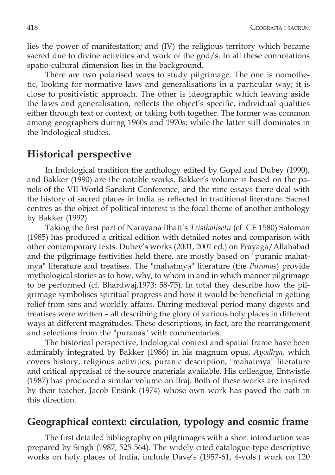lies the power of manifestation; and (IV) the religious territory which became sacred due to divine activities and work of the god/s. In all these connotations spatio-cultural dimension lies in the background.

There are two polarised ways to study pilgrimage. The one is nomothetic, looking for normative laws and generalisations in a particular way; it is close to positivistic approach. The other is ideographic which leaving aside the laws and generalisation, reflects the object's specific, individual qualities either through text or context, or taking both together. The former was common among geographers during 1960s and 1970s; while the latter still dominates in the Indological studies.

#### **Historical perspective**

In Indological tradition the anthology edited by Gopal and Dubey (1990), and Bakker (1990) are the notable works. Bakker's volume is based on the panels of the VII World Sanskrit Conference, and the nine essays there deal with the history of sacred places in India as reflected in traditional literature. Sacred centres as the object of political interest is the focal theme of another anthology by Bakker (1992).

Taking the first part of Narayana Bhatt's *Tristhalisetu* (cf. CE 1580) Saloman (1985) has produced a critical edition with detailed notes and comparison with other contemporary texts. Dubey's works (2001, 2001 ed.) on Prayaga/Allahabad and the pilgrimage festivities held there, are mostly based on "puranic mahatmya" literature and treatises. The "mahatmya" literature (the *Puranas*) provide mythological stories as to how, why, to whom in and in which manner pilgrimage to be performed (cf. Bhardwaj,1973: 58-75). In total they describe how the pilgrimage symbolises spiritual progress and how it would be beneficial in getting relief from sins and worldly affairs. During medieval period many digests and treatises were written – all describing the glory of various holy places in different ways at different magnitudes. These descriptions, in fact, are the rearrangement and selections from the "puranas" with commentaries.

The historical perspective, Indological context and spatial frame have been admirably integrated by Bakker (1986) in his magnum opus, *Ayodhya*, which covers history, religious activities, puranic description, "mahatmya" literature and critical appraisal of the source materials available. His colleague, Entwistle (1987) has produced a similar volume on Braj. Both of these works are inspired by their teacher, Jacob Ensink (1974) whose own work has paved the path in this direction.

# **Geographical context: circulation, typology and cosmic frame**

The first detailed bibliography on pilgrimages with a short introduction was prepared by Singh (1987, 525-564). The widely cited catalogue-type descriptive works on holy places of India, include Dave's (1957-61, 4-vols.) work on 120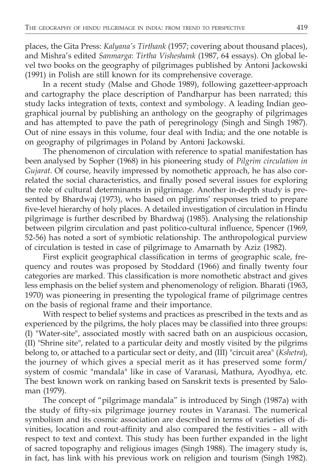places, the Gita Press: *Kalyana's Tirthank* (1957; covering about thousand places), and Mishra's edited *Sanmarga*: *Tirtha Visheshank* (1987, 64 essays). On global level two books on the geography of pilgrimages published by Antoni Jackowski (1991) in Polish are still known for its comprehensive coverage.

In a recent study (Malse and Ghode 1989), following gazetteer-approach and cartography the place description of Pandharpur has been narrated; this study lacks integration of texts, context and symbology. A leading Indian geographical journal by publishing an anthology on the geography of pilgrimages and has attempted to pave the path of peregrinology (Singh and Singh 1987). Out of nine essays in this volume, four deal with India; and the one notable is on geography of pilgrimages in Poland by Antoni Jackowski.

The phenomenon of circulation with reference to spatial manifestation has been analysed by Sopher (1968) in his pioneering study of *Pilgrim circulation in Gujarat*. Of course, heavily impressed by nomothetic approach, he has also correlated the social characteristics, and finally posed several issues for exploring the role of cultural determinants in pilgrimage. Another in-depth study is presented by Bhardwaj (1973), who based on pilgrims' responses tried to prepare five-level hierarchy of holy places. A detailed investigation of circulation in Hindu pilgrimage is further described by Bhardwaj (1985). Analysing the relationship between pilgrim circulation and past politico-cultural influence, Spencer (1969, 52-56) has noted a sort of symbiotic relationship. The anthropological purview of circulation is tested in case of pilgrimage to Amarnath by Aziz (1982).

First explicit geographical classification in terms of geographic scale, frequency and routes was proposed by Stoddard (1966) and finally twenty four categories are marked. This classification is more nomothetic abstract and gives less emphasis on the belief system and phenomenology of religion. Bharati (1963, 1970) was pioneering in presenting the typological frame of pilgrimage centres on the basis of regional frame and their importance.

With respect to belief systems and practices as prescribed in the texts and as experienced by the pilgrims, the holy places may be classified into three groups: (I) "Water-site", associated mostly with sacred bath on an auspicious occasion, (II) "Shrine site", related to a particular deity and mostly visited by the pilgrims belong to, or attached to a particular sect or deity, and (III) "circuit area" (*Kshetra*), the journey of which gives a special merit as it has preserved some form/ system of cosmic "mandala" like in case of Varanasi, Mathura, Ayodhya, etc. The best known work on ranking based on Sanskrit texts is presented by Saloman (1979).

The concept of "pilgrimage mandala" is introduced by Singh (1987a) with the study of fifty-six pilgrimage journey routes in Varanasi. The numerical symbolism and its cosmic association are described in terms of varieties of divinities, location and rout-affinity and also compared the festivities – all with respect to text and context. This study has been further expanded in the light of sacred topography and religious images (Singh 1988). The imagery study is, in fact, has link with his previous work on religion and tourism (Singh 1982).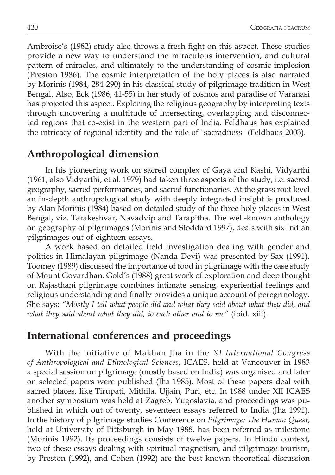Ambroise's (1982) study also throws a fresh fight on this aspect. These studies provide a new way to understand the miraculous intervention, and cultural pattern of miracles, and ultimately to the understanding of cosmic implosion (Preston 1986). The cosmic interpretation of the holy places is also narrated by Morinis (1984, 284-290) in his classical study of pilgrimage tradition in West Bengal. Also, Eck (1986, 41-55) in her study of cosmos and paradise of Varanasi has projected this aspect. Exploring the religious geography by interpreting texts through uncovering a multitude of intersecting, overlapping and disconnected regions that co-exist in the western part of India, Feldhaus has explained the intricacy of regional identity and the role of "sacradness" (Feldhaus 2003).

# **Anthropological dimension**

In his pioneering work on sacred complex of Gaya and Kashi, Vidyarthi (1961, also Vidyarthi, et al. 1979) had taken three aspects of the study, i.e. sacred geography, sacred performances, and sacred functionaries. At the grass root level an in-depth anthropological study with deeply integrated insight is produced by Alan Morinis (1984) based on detailed study of the three holy places in West Bengal, viz. Tarakeshvar, Navadvip and Tarapitha. The well-known anthology on geography of pilgrimages (Morinis and Stoddard 1997), deals with six Indian pilgrimages out of eighteen essays.

A work based on detailed field investigation dealing with gender and politics in Himalayan pilgrimage (Nanda Devi) was presented by Sax (1991). Toomey (1989) discussed the importance of food in pilgrimage with the case study of Mount Govardhan. Gold's (1988) great work of exploration and deep thought on Rajasthani pilgrimage combines intimate sensing, experiential feelings and religious understanding and finally provides a unique account of peregrinology. She says: *"Mostly I tell what people did and what they said about what they did, and what they said about what they did, to each other and to me"* (ibid. xiii).

# **International conferences and proceedings**

With the initiative of Makhan Jha in the *XI International Congress of Anthropological and Ethnological Sciences*, ICAES, held at Vancouver in 1983 a special session on pilgrimage (mostly based on India) was organised and later on selected papers were published (Jha 1985). Most of these papers deal with sacred places, like Tirupati, Mithila, Ujjain, Puri, etc. In 1988 under XII ICAES another symposium was held at Zagreb, Yugoslavia, and proceedings was published in which out of twenty, seventeen essays referred to India (Jha 1991). In the history of pilgrimage studies Conference on *Pilgrimage: The Human Quest*, held at University of Pittsburgh in May 1988, has been referred as milestone (Morinis 1992). Its proceedings consists of twelve papers. In Hindu context, two of these essays dealing with spiritual magnetism, and pilgrimage-tourism, by Preston (1992), and Cohen (1992) are the best known theoretical discussion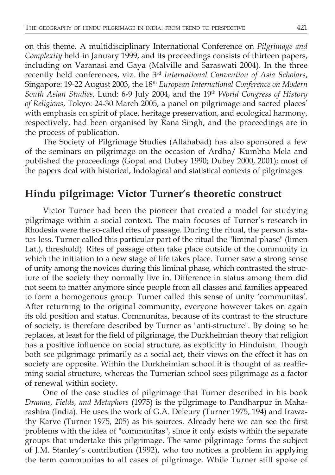on this theme. A multidisciplinary International Conference on *Pilgrimage and Complexity* held in January 1999, and its proceedings consists of thirteen papers, including on Varanasi and Gaya (Malville and Saraswati 2004). In the three recently held conferences, viz. the 3rd *International Convention of Asia Scholars*, Singapore: 19-22 August 2003, the 18<sup>th</sup> *European International Conference on Modern* South Asian Studies, Lund: 6-9 July 2004, and the 19th *World Congress of History of Religions*, Tokyo: 24-30 March 2005, a panel on pilgrimage and sacred places' with emphasis on spirit of place, heritage preservation, and ecological harmony, respectively, had been organised by Rana Singh, and the proceedings are in the process of publication.

The Society of Pilgrimage Studies (Allahabad) has also sponsored a few of the seminars on pilgrimage on the occasion of Ardha/ Kumbha Mela and published the proceedings (Gopal and Dubey 1990; Dubey 2000, 2001); most of the papers deal with historical, Indological and statistical contexts of pilgrimages.

# **Hindu pilgrimage: Victor Turner's theoretic construct**

Victor Turner had been the pioneer that created a model for studying pilgrimage within a social context. The main focuses of Turner's research in Rhodesia were the so-called rites of passage. During the ritual, the person is status-less. Turner called this particular part of the ritual the "liminal phase" (limen Lat.), threshold). Rites of passage often take place outside of the community in which the initiation to a new stage of life takes place. Turner saw a strong sense of unity among the novices during this liminal phase, which contrasted the structure of the society they normally live in. Difference in status among them did not seem to matter anymore since people from all classes and families appeared to form a homogenous group. Turner called this sense of unity 'communitas'. After returning to the original community, everyone however takes on again its old position and status. Communitas, because of its contrast to the structure of society, is therefore described by Turner as "anti-structure". By doing so he replaces, at least for the field of pilgrimage, the Durkheimian theory that religion has a positive influence on social structure, as explicitly in Hinduism. Though both see pilgrimage primarily as a social act, their views on the effect it has on society are opposite. Within the Durkheimian school it is thought of as reaffirming social structure, whereas the Turnerian school sees pilgrimage as a factor of renewal within society.

One of the case studies of pilgrimage that Turner described in his book *Dramas, Fields, and Metaphors* (1975) is the pilgrimage to Pandharpur in Maharashtra (India). He uses the work of G.A. Deleury (Turner 1975, 194) and Irawathy Karve (Turner 1975, 205) as his sources. Already here we can see the first problems with the idea of "communitas", since it only exists within the separate groups that undertake this pilgrimage. The same pilgrimage forms the subject of J.M. Stanley's contribution (1992), who too notices a problem in applying the term communitas to all cases of pilgrimage. While Turner still spoke of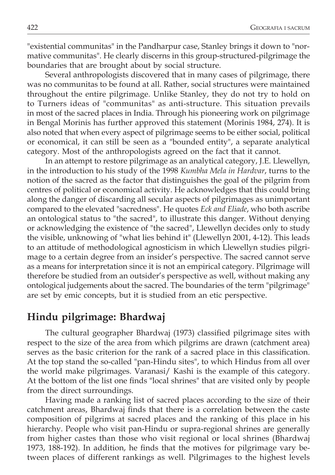"existential communitas" in the Pandharpur case, Stanley brings it down to "normative communitas". He clearly discerns in this group-structured-pilgrimage the boundaries that are brought about by social structure.

Several anthropologists discovered that in many cases of pilgrimage, there was no communitas to be found at all. Rather, social structures were maintained throughout the entire pilgrimage. Unlike Stanley, they do not try to hold on to Turners ideas of "communitas" as anti-structure. This situation prevails in most of the sacred places in India. Through his pioneering work on pilgrimage in Bengal Morinis has further approved this statement (Morinis 1984, 274). It is also noted that when every aspect of pilgrimage seems to be either social, political or economical, it can still be seen as a "bounded entity", a separate analytical category. Most of the anthropologists agreed on the fact that it cannot.

In an attempt to restore pilgrimage as an analytical category, J.E. Llewellyn, in the introduction to his study of the 1998 *Kumbha Mela in Hardvar*, turns to the notion of the sacred as the factor that distinguishes the goal of the pilgrim from centres of political or economical activity. He acknowledges that this could bring along the danger of discarding all secular aspects of pilgrimages as unimportant compared to the elevated "sacredness". He quotes *Eck and Eliade*, who both ascribe an ontological status to "the sacred", to illustrate this danger. Without denying or acknowledging the existence of "the sacred", Llewellyn decides only to study the visible, unknowing of "what lies behind it" (Llewellyn 2001, 4-12). This leads to an attitude of methodological agnosticism in which Llewellyn studies pilgrimage to a certain degree from an insider's perspective. The sacred cannot serve as a means for interpretation since it is not an empirical category. Pilgrimage will therefore be studied from an outsider's perspective as well, without making any ontological judgements about the sacred. The boundaries of the term "pilgrimage" are set by emic concepts, but it is studied from an etic perspective.

# **Hindu pilgrimage: Bhardwaj**

The cultural geographer Bhardwaj (1973) classified pilgrimage sites with respect to the size of the area from which pilgrims are drawn (catchment area) serves as the basic criterion for the rank of a sacred place in this classification. At the top stand the so-called "pan-Hindu sites", to which Hindus from all over the world make pilgrimages. Varanasi/ Kashi is the example of this category. At the bottom of the list one finds "local shrines" that are visited only by people from the direct surroundings.

Having made a ranking list of sacred places according to the size of their catchment areas, Bhardwaj finds that there is a correlation between the caste composition of pilgrims at sacred places and the ranking of this place in his hierarchy. People who visit pan-Hindu or supra-regional shrines are generally from higher castes than those who visit regional or local shrines (Bhardwaj 1973, 188-192). In addition, he finds that the motives for pilgrimage vary between places of different rankings as well. Pilgrimages to the highest levels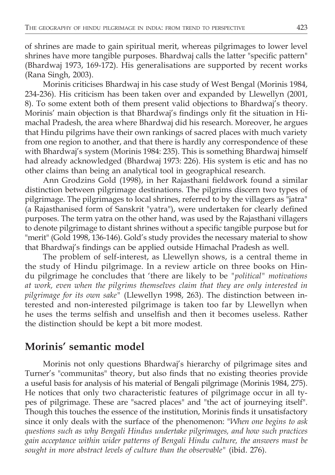of shrines are made to gain spiritual merit, whereas pilgrimages to lower level shrines have more tangible purposes. Bhardwaj calls the latter "specific pattern" (Bhardwaj 1973, 169-172). His generalisations are supported by recent works (Rana Singh, 2003).

Morinis criticises Bhardwaj in his case study of West Bengal (Morinis 1984, 234-236). His criticism has been taken over and expanded by Llewellyn (2001, 8). To some extent both of them present valid objections to Bhardwaj's theory. Morinis' main objection is that Bhardwaj's findings only fit the situation in Himachal Pradesh, the area where Bhardwaj did his research. Moreover, he argues that Hindu pilgrims have their own rankings of sacred places with much variety from one region to another, and that there is hardly any correspondence of these with Bhardwaj's system (Morinis 1984: 235). This is something Bhardwaj himself had already acknowledged (Bhardwaj 1973: 226). His system is etic and has no other claims than being an analytical tool in geographical research.

Ann Grodzins Gold (1998), in her Rajasthani fieldwork found a similar distinction between pilgrimage destinations. The pilgrims discern two types of pilgrimage. The pilgrimages to local shrines, referred to by the villagers as "jatra" (a Rajasthanised form of Sanskrit "yatra"), were undertaken for clearly defined purposes. The term yatra on the other hand, was used by the Rajasthani villagers to denote pilgrimage to distant shrines without a specific tangible purpose but for "merit" (Gold 1998, 136-146). Gold's study provides the necessary material to show that Bhardwaj's findings can be applied outside Himachal Pradesh as well.

The problem of self-interest, as Llewellyn shows, is a central theme in the study of Hindu pilgrimage. In a review article on three books on Hindu pilgrimage he concludes that 'there are likely to be *"political" motivations at work, even when the pilgrims themselves claim that they are only interested in pilgrimage for its own sake"* (Llewellyn 1998, 263). The distinction between interested and non-interested pilgrimage is taken too far by Llewellyn when he uses the terms selfish and unselfish and then it becomes useless. Rather the distinction should be kept a bit more modest.

# **Morinis' semantic model**

Morinis not only questions Bhardwaj's hierarchy of pilgrimage sites and Turner's "communitas" theory, but also finds that no existing theories provide a useful basis for analysis of his material of Bengali pilgrimage (Morinis 1984, 275). He notices that only two characteristic features of pilgrimage occur in all types of pilgrimage. These are "sacred places" and "the act of journeying itself". Though this touches the essence of the institution, Morinis finds it unsatisfactory since it only deals with the surface of the phenomenon: "*When one begins to ask questions such as why Bengali Hindus undertake pilgrimages, and how such practices gain acceptance within wider patterns of Bengali Hindu culture, the answers must be sought in more abstract levels of culture than the observable"* (ibid. 276).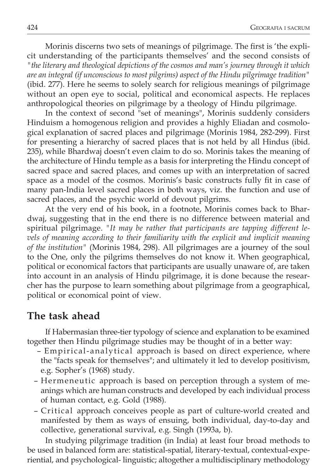Morinis discerns two sets of meanings of pilgrimage. The first is 'the explicit understanding of the participants themselves' and the second consists of *"the literary and theological depictions of the cosmos and man's journey through it which are an integral (if unconscious to most pilgrims) aspect of the Hindu pilgrimage tradition"* (ibid. 277). Here he seems to solely search for religious meanings of pilgrimage without an open eye to social, political and economical aspects. He replaces anthropological theories on pilgrimage by a theology of Hindu pilgrimage.

In the context of second "set of meanings", Morinis suddenly considers Hinduism a homogenous religion and provides a highly Eliadan and cosmological explanation of sacred places and pilgrimage (Morinis 1984, 282-299). First for presenting a hierarchy of sacred places that is not held by all Hindus (ibid. 235), while Bhardwaj doesn't even claim to do so. Morinis takes the meaning of the architecture of Hindu temple as a basis for interpreting the Hindu concept of sacred space and sacred places, and comes up with an interpretation of sacred space as a model of the cosmos. Morinis's basic constructs fully fit in case of many pan-India level sacred places in both ways, viz. the function and use of sacred places, and the psychic world of devout pilgrims.

At the very end of his book, in a footnote, Morinis comes back to Bhardwaj, suggesting that in the end there is no difference between material and spiritual pilgrimage. *"It may be rather that participants are tapping different levels of meaning according to their familiarity with the explicit and implicit meaning of the institution"* (Morinis 1984, 298). All pilgrimages are a journey of the soul to the One, only the pilgrims themselves do not know it. When geographical, political or economical factors that participants are usually unaware of, are taken into account in an analysis of Hindu pilgrimage, it is done because the researcher has the purpose to learn something about pilgrimage from a geographical, political or economical point of view.

# **The task ahead**

If Habermasian three-tier typology of science and explanation to be examined together then Hindu pilgrimage studies may be thought of in a better way:

- Empirical-analytical approach is based on direct experience, where the "facts speak for themselves"; and ultimately it led to develop positivism, e.g. Sopher's (1968) study.
- Hermeneutic approach is based on perception through a system of meanings which are human constructs and developed by each individual process of human contact, e.g. Gold (1988).
- Critical approach conceives people as part of culture-world created and manifested by them as ways of ensuing, both individual, day-to-day and collective, generational survival, e.g. Singh (1993a, b).

In studying pilgrimage tradition (in India) at least four broad methods to be used in balanced form are: statistical-spatial, literary-textual, contextual-experiential, and psychological- linguistic; altogether a multidisciplinary methodology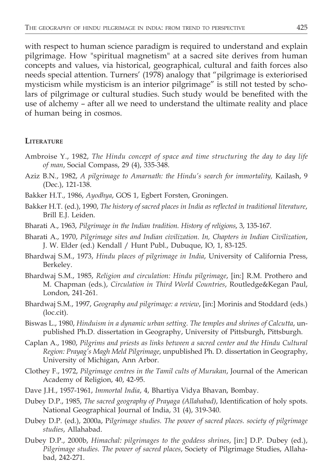with respect to human science paradigm is required to understand and explain pilgrimage. How "spiritual magnetism" at a sacred site derives from human concepts and values, via historical, geographical, cultural and faith forces also needs special attention. Turners' (1978) analogy that "pilgrimage is exteriorised mysticism while mysticism is an interior pilgrimage" is still not tested by scholars of pilgrimage or cultural studies. Such study would be benefited with the use of alchemy – after all we need to understand the ultimate reality and place of human being in cosmos.

#### **LITERATURE**

- Ambroise Y., 1982, *The Hindu concept of space and time structuring the day to day life of man*, Social Compass, 29 (4), 335-348.
- Aziz B.N., 1982, *A pilgrimage to Amarnath: the Hindu's search for immortality,* Kailash, 9 (Dec.), 121-138.
- Bakker H.T., 1986, *Ayodhya*, GOS 1, Egbert Forsten, Groningen.
- Bakker H.T. (ed.), 1990, *The history of sacred places in India as reflected in traditional literature*, Brill E.J. Leiden.
- Bharati A., 1963, *Pilgrimage in the Indian tradition. History of religions*, 3, 135-167.
- Bharati A., 1970, *Pilgrimage sites and Indian civilization. In, Chapters in Indian Civilization*, J. W. Elder (ed.) Kendall / Hunt Publ., Dubuque, IO, 1, 83-125.
- Bhardwaj S.M., 1973, *Hindu places of pilgrimage in India*, University of California Press, Berkeley.
- Bhardwaj S.M., 1985, *Religion and circulation: Hindu pilgrimage*, [in:] R.M. Prothero and M. Chapman (eds.), *Circulation in Third World Countries*, Routledge&Kegan Paul, London, 241-261.
- Bhardwaj S.M., 1997, *Geography and pilgrimage: a review*, [in:] Morinis and Stoddard (eds.) (loc.cit).
- Biswas L., 1980, *Hinduism in a dynamic urban setting. The temples and shrines of Calcutta*, unpublished Ph.D. dissertation in Geography, University of Pittsburgh, Pittsburgh.
- Caplan A., 1980, *Pilgrims and priests as links between a sacred center and the Hindu Cultural Region: Prayag's Magh Meld Pilgrimage*, unpublished Ph. D. dissertation in Geography, University of Michigan, Ann Arbor.
- Clothey F., 1972, *Pilgrimage centres in the Tamil cults of Murukan*, Journal of the American Academy of Religion, 40, 42-95.
- Dave J.H., 1957-1961, *Immortal India*, 4, Bhartiya Vidya Bhavan, Bombay.
- Dubey D.P., 1985, *The sacred geography of Prayaga (Allahabad)*, Identification of holy spots. National Geographical Journal of India, 31 (4), 319-340.
- Dubey D.P. (ed.), 2000a, P*ilgrimage studies. The power of sacred places. society of pilgrimage studies*, Allahabad.
- Dubey D.P., 2000b, *Himachal: pilgrimages to the goddess shrines*, [in:] D.P. Dubey (ed.), *Pilgrimage studies. The power of sacred places*, Society of Pilgrimage Studies, Allahabad, 242-271.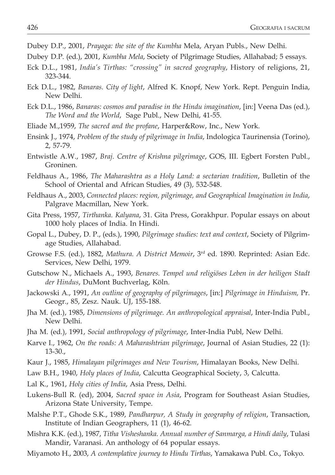- Dubey D.P., 2001, *Prayaga: the site of the Kumbha* Mela, Aryan Publs., New Delhi.
- Dubey D.P. (ed.), 2001, *Kumbha Mela*, Society of Pilgrimage Studies, Allahabad; 5 essays.
- Eck D.L., 1981, *India's Tirthas: "crossing" in sacred geography*, History of religions, 21, 323-344.
- Eck D.L., 1982, *Banaras. City of light*, Alfred K. Knopf, New York. Rept. Penguin India, New Delhi.
- Eck D.L., 1986, *Banaras: cosmos and paradise in the Hindu imagination*, [in:] Veena Das (ed.), *The Word and the World*, Sage Publ., New Delhi, 41-55.
- Eliade M.,1959, *The sacred and the profane*, Harper&Row, Inc., New York.
- Ensink J., 1974, *Problem of the study of pilgrimage in India*, Indologica Taurinensia (Torino), 2, 57-79.
- Entwistle A.W., 1987, *Braj. Centre of Krishna pilgrimage*, GOS, III. Egbert Forsten Publ., Groninen.
- Feldhaus A., 1986, *The Maharashtra as a Holy Land: a sectarian tradition*, Bulletin of the School of Oriental and African Studies, 49 (3), 532-548.
- Feldhaus A., 2003, *Connected places: region, pilgrimage, and Geographical Imagination in India*, Palgrave Macmillan, New York.
- Gita Press, 1957, *Tirthanka. Kalyana*, 31. Gita Press, Gorakhpur. Popular essays on about 1000 holy places of India. In Hindi.
- Gopal L., Dubey, D. P., (eds.), 1990, *Pilgrimage studies: text and context*, Society of Pilgrimage Studies, Allahabad.
- Growse F.S. (ed.), 1882, *Mathura. A District Memoir*, 3rd ed. 1890. Reprinted: Asian Edc. Services, New Delhi, 1979.
- Gutschow N., Michaels A., 1993, *Benares. Tempel und religiöses Leben in der heiligen Stadt der Hindus*, DuMont Buchverlag, Köln.
- Jackowski A., 1991, *An outline of geography of pilgrimages*, [in:] *Pilgrimage in Hinduism,* Pr. Geogr., 85, Zesz. Nauk. UJ, 155-188.
- Jha M. (ed.), 1985, *Dimensions of pilgrimage. An anthropological appraisal*, Inter-India Publ., New Delhi.
- Jha M. (ed.), 1991, *Social anthropology of pilgrimage*, Inter-India Publ, New Delhi.
- Karve I., 1962, *On the roads: A Maharashtrian pilgrimage*, Journal of Asian Studies, 22 (1): 13-30.,
- Kaur J., 1985, *Himalayan pilgrimages and New Tourism*, Himalayan Books, New Delhi.
- Law B.H., 1940, *Holy places of India*, Calcutta Geographical Society, 3, Calcutta.
- Lal K., 1961, *Holy cities of India*, Asia Press, Delhi.
- Lukens-Bull R. (ed), 2004, *Sacred space in Asia*, Program for Southeast Asian Studies, Arizona State University, Tempe.
- Malshe P.T., Ghode S.K., 1989, *Pandharpur, A Study in geography of religion*, Transaction, Institute of Indian Geographers, 11 (1), 46-62.
- Mishra K.K. (ed.), 1987, *Titha Visheshanka. Annual number of Sanmarga, a Hindi daily*, Tulasi Mandir, Varanasi. An anthology of 64 popular essays.
- Miyamoto H., 2003, *A contemplative journey to Hindu Tirthas*, Yamakawa Publ. Co., Tokyo.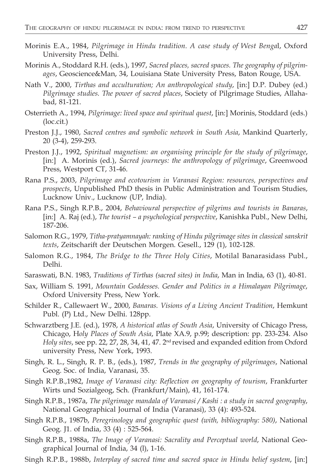- Morinis E.A., 1984, *Pilgrimage in Hindu tradition. A case study of West Benga*l, Oxford University Press, Delhi.
- Morinis A., Stoddard R.H. (eds.), 1997, *Sacred places, sacred spaces. The geography of pilgrimages*, Geoscience&Man, 34, Louisiana State University Press, Baton Rouge, USA.
- Nath V., 2000, *Tirthas and acculturation; An anthropological study*, [in:] D.P. Dubey (ed.) *Pilgrimage studies. The power of sacred places*, Society of Pilgrimage Studies, Allahabad, 81-121.
- Osterrieth A., 1994, *Pilgrimage: lived space and spiritual quest*, [in:] Morinis, Stoddard (eds.) (loc.cit.)
- Preston J.J., 1980, *Sacred centres and symbolic network in South Asia*, Mankind Quarterly, 20 (3-4), 259-293.
- Preston J.J., 1992, *Spiritual magnetism: an organising principle for the study of pilgrimage*, [in:] A. Morinis (ed.), *Sacred journeys: the anthropology of pilgrimage*, Greenwood Press, Westport CT, 31-46.
- Rana P.S., 2003, *Pilgrimage and ecotourism in Varanasi Region: resources, perspectives and prospects*, Unpublished PhD thesis in Public Administration and Tourism Studies, Lucknow Univ., Lucknow (UP, India).
- Rana P.S., Singh R.P.B., 2004, *Behavioural perspective of pilgrims and tourists in Banaras*, [in:] A. Raj (ed.), *The tourist – a psychological perspective*, Kanishka Publ., New Delhi, 187-206.
- Salomon R.G., 1979, *Titha-pratyamnayah: ranking of Hindu pilgrimage sites in classical sanskrit texts*, Zeitscharift der Deutschen Morgen. Gesell., 129 (1), 102-128.
- Salomon R.G., 1984, *The Bridge to the Three Holy Cities*, Motilal Banarasidass Publ., Delhi.
- Saraswati, B.N. 1983, *Traditions of Tirthas (sacred sites) in India*, Man in India, 63 (1), 40-81.
- Sax, William S. 1991, *Mountain Goddesses. Gender and Politics in a Himalayan Pilgrimage*, Oxford University Press, New York.
- Schilder R., Callewaert W., 2000, *Banaras. Visions of a Living Ancient Tradition*, Hemkunt Publ. (P) Ltd., New Delhi. 128pp.
- Schwarztberg J.E. (ed.), 1978, *A historical atlas of South Asia*, University of Chicago Press, Chicago, H*oly Places of South Asia*, Plate XA.9, p.99; description: pp. 233-234. Also *Holy sites*, see pp. 22, 27, 28, 34, 41, 47. 2nd revised and expanded edition from Oxford university Press, New York, 1993.
- Singh, R. L., Singh, R. P. B., (eds.), 1987, *Trends in the geography of pilgrimages*, National Geog. Soc. of India, Varanasi, 35.
- Singh R.P.B.,1982, *Image of Varanasi city: Reflection on geography of tourism*, Frankfurter Wirts und Sozialgeog, Sch. (Frankfurt/Main), 41, 161-174.
- Singh R.P.B., 1987a, *The pilgrimage mandala of Varanasi / Kashi : a study in sacred geography*, National Geographical Journal of India (Varanasi), 33 (4): 493-524.
- Singh R.P.B., 1987b, *Peregrinology and geographic quest (with, bibliography: 580)*, National Geog. J1. of India, 33 (4) : 525-564.
- Singh R.P.B., 1988a, *The Image of Varanasi: Sacrality and Perceptual world*, National Geographical Journal of India, 34 (l), 1-16.
- Singh R.P.B., 1988b, *Interplay of sacred time and sacred space in Hindu belief system*, [in:]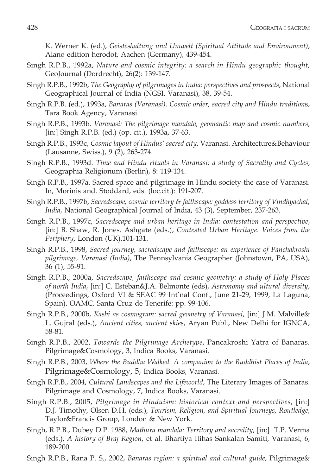K. Werner K. (ed.), *Geisteshaltung und Umwelt (Spiritual Attitude and Environment)*, Alano edition herodot, Aachen (Germany), 439-454.

- Singh R.P.B., 1992a, *Nature and cosmic integrity: a search in Hindu geographic thought*, GeoJournal (Dordrecht), 26(2): 139-147.
- Singh R.P.B., 1992b, *The Geography of pilgrimages in India: perspectives and prospects*, National Geographical Journal of India (NGSI, Varanasi), 38, 39-54.
- Singh R.P.B. (ed.), 1993a, *Banaras (Varanasi). Cosmic order, sacred city and Hindu tradition*s, Tara Book Agency, Varanasi.
- Singh R.P.B., 1993b. *Varanasi: The pilgrimage mandala, geomantic map and cosmic numbers*, [in:] Singh R.P.B. (ed.) (op. cit.), 1993a, 37-63.
- Singh R.P.B., 1993c, *Cosmic layout of Hindus' sacred city*, Varanasi. Architecture&Behaviour (Lausanne, Swiss.), 9 (2), 263-274.
- Singh R.P.B., 1993d. *Time and Hindu rituals in Varanasi: a study of Sacrality and Cycles*, Geographia Religionum (Berlin), 8: 119-134.
- Singh R.P.B., 1997a. Sacred space and pilgrimage in Hindu society-the case of Varanasi. In, Morinis and. Stoddard, eds. (loc.cit.): 191-207.
- Singh R.P.B., 1997b, *Sacredscape, cosmic territory & faithscape: goddess territory of Vindhyachal*, *India*, National Geographical Journal of India, 43 (3), September, 237-263.
- Singh R.P.B., 1997c, *Sacredscape and urban heritage in India: contestation and perspective*, [in:] B. Shaw, R. Jones. Ashgate (eds.), *Contested Urban Heritage. Voices from the Periphery*, London (UK),101-131.
- Singh R.P.B., 1998, *Sacred journey, sacredscape and faithscape: an experience of Panchakroshi pilgrimage, Varanasi (India)*, The Pennsylvania Geographer (Johnstown, PA, USA), 36 (1), 55-91.
- Singh R.P.B., 2000a, *Sacredscape, faithscape and cosmic geometry: a study of Holy Places of north India*, [in:] C. Esteban&J.A. Belmonte (eds), *Astronomy and ultural diversity*, (Proceedings, Oxford VI & SEAC 99 Int'nal Conf., June 21-29, 1999, La Laguna, Spain). OAMC. Santa Cruz de Tenerife: pp. 99-106.
- Singh R.P.B., 2000b, *Kashi as cosmogram: sacred geometry of Varanasi*, [in:] J.M. Malville& L. Gujral (eds.), *Ancient cities, ancient skies*, Aryan Publ., New Delhi for IGNCA, 58-81.
- Singh R.P.B., 2002, *Towards the Pilgrimage Archetype*, Pancakroshi Yatra of Banaras. Pilgrimage&Cosmology, 3, Indica Books, Varanasi.
- Singh R.P.B., 2003, *Where the Buddha Walked. A companion to the Buddhist Places of India*, Pilgrimage&Cosmology, 5, Indica Books, Varanasi.
- Singh R.P.B., 2004, *Cultural Landscapes and the Lifeworld*, The Literary Images of Banaras. Pilgrimage and Cosmology, 7, Indica Books, Varanasi.
- Singh R.P.B., 2005, *Pilgrimage in Hinduism: historical context and perspectives*, [in:] D.J. Timothy, Olsen D.H. (eds.), *Tourism, Religion, and Spiritual Journeys, Routledge*, Taylor&Francis Group, London & New York.
- Singh, R.P.B., Dubey D.P. 1988, *Mathura mandala: Territory and sacrality*, [in:] T.P. Verma (eds.), *A history of Braj Region*, et al. Bhartiya Itihas Sankalan Samiti, Varanasi, 6, 189-200.
- Singh R.P.B., Rana P. S., 2002, *Banaras region: a spiritual and cultural guide*, Pilgrimage&